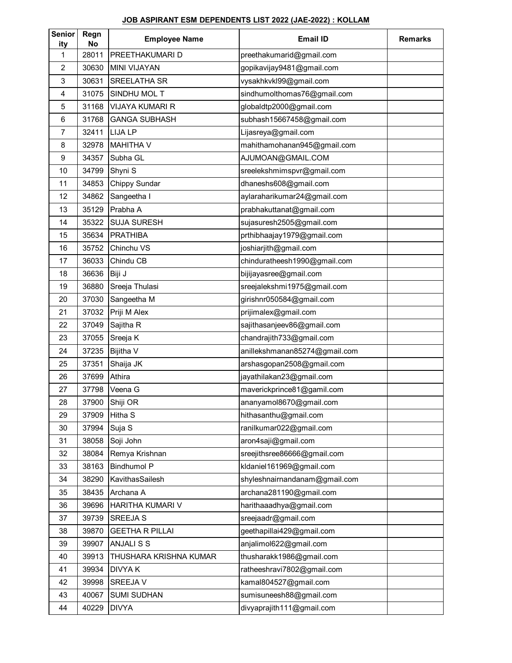## **JOB ASPIRANT ESM DEPENDENTS LIST 2022 (JAE-2022) : KOLLAM**

| <b>Senior</b><br>ity | Regn<br>No | <b>Employee Name</b>   | <b>Email ID</b>               | <b>Remarks</b> |
|----------------------|------------|------------------------|-------------------------------|----------------|
| 1                    | 28011      | PREETHAKUMARI D        | preethakumarid@gmail.com      |                |
| 2                    | 30630      | <b>MINI VIJAYAN</b>    | gopikavijay9481@gmail.com     |                |
| 3                    | 30631      | SREELATHA SR           | vysakhkvkl99@gmail.com        |                |
| 4                    | 31075      | SINDHU MOL T           | sindhumolthomas76@gmail.com   |                |
| 5                    | 31168      | <b>VIJAYA KUMARI R</b> | globaldtp2000@gmail.com       |                |
| 6                    | 31768      | <b>GANGA SUBHASH</b>   | subhash15667458@gmail.com     |                |
| $\overline{7}$       | 32411      | LIJA LP                | Lijasreya@gmail.com           |                |
| 8                    | 32978      | <b>MAHITHA V</b>       | mahithamohanan945@gmail.com   |                |
| 9                    | 34357      | Subha GL               | AJUMOAN@GMAIL.COM             |                |
| 10                   | 34799      | Shyni S                | sreelekshmimspvr@gmail.com    |                |
| 11                   | 34853      | Chippy Sundar          | dhaneshs608@gmail.com         |                |
| 12                   | 34862      | Sangeetha I            | aylaraharikumar24@gmail.com   |                |
| 13                   | 35129      | Prabha A               | prabhakuttanat@gmail.com      |                |
| 14                   | 35322      | <b>SUJA SURESH</b>     | sujasuresh2505@gmail.com      |                |
| 15                   | 35634      | <b>PRATHIBA</b>        | prthibhaajay1979@gmail.com    |                |
| 16                   | 35752      | Chinchu VS             | joshiarjith@gmail.com         |                |
| 17                   | 36033      | Chindu CB              | chinduratheesh1990@gmail.com  |                |
| 18                   | 36636      | Biji J                 | bijijayasree@gmail.com        |                |
| 19                   | 36880      | Sreeja Thulasi         | sreejalekshmi1975@gmail.com   |                |
| 20                   | 37030      | Sangeetha M            | girishnr050584@gmail.com      |                |
| 21                   | 37032      | Priji M Alex           | prijimalex@gmail.com          |                |
| 22                   | 37049      | Sajitha R              | sajithasanjeev86@gmail.com    |                |
| 23                   | 37055      | Sreeja K               | chandrajith733@gmail.com      |                |
| 24                   | 37235      | Bijitha V              | anillekshmanan85274@gmail.com |                |
| 25                   | 37351      | Shaija JK              | arshasgopan2508@gmail.com     |                |
| 26                   | 37699      | Athira                 | jayathilakan23@gmail.com      |                |
| 27                   | 37798      | Veena G                | maverickprince81@gamil.com    |                |
| 28                   | 37900      | Shiji OR               | ananyamol8670@gmail.com       |                |
| 29                   | 37909      | Hitha S                | hithasanthu@gmail.com         |                |
| 30                   | 37994      | Suja S                 | ranilkumar022@gmail.com       |                |
| 31                   | 38058      | Soji John              | aron4saji@gmail.com           |                |
| 32                   | 38084      | Remya Krishnan         | sreejithsree86666@gmail.com   |                |
| 33                   | 38163      | <b>Bindhumol P</b>     | kldaniel161969@gmail.com      |                |
| 34                   | 38290      | KavithasSailesh        | shyleshnairnandanam@gmail.com |                |
| 35                   | 38435      | Archana A              | archana281190@gmail.com       |                |
| 36                   | 39696      | HARITHA KUMARI V       | harithaaadhya@gmail.com       |                |
| 37                   | 39739      | SREEJA S               | sreejaadr@gmail.com           |                |
| 38                   | 39870      | <b>GEETHA R PILLAI</b> | geethapillai429@gmail.com     |                |
| 39                   | 39907      | ANJALI S S             | anjalimol622@gmail.com        |                |
| 40                   | 39913      | THUSHARA KRISHNA KUMAR | thusharakk1986@gmail.com      |                |
| 41                   | 39934      | <b>DIVYAK</b>          | ratheeshravi7802@gmail.com    |                |
| 42                   | 39998      | SREEJA V               | kamal804527@gmail.com         |                |
| 43                   | 40067      | <b>SUMI SUDHAN</b>     | sumisuneesh88@gmail.com       |                |
| 44                   | 40229      | <b>DIVYA</b>           | divyaprajith111@gmail.com     |                |